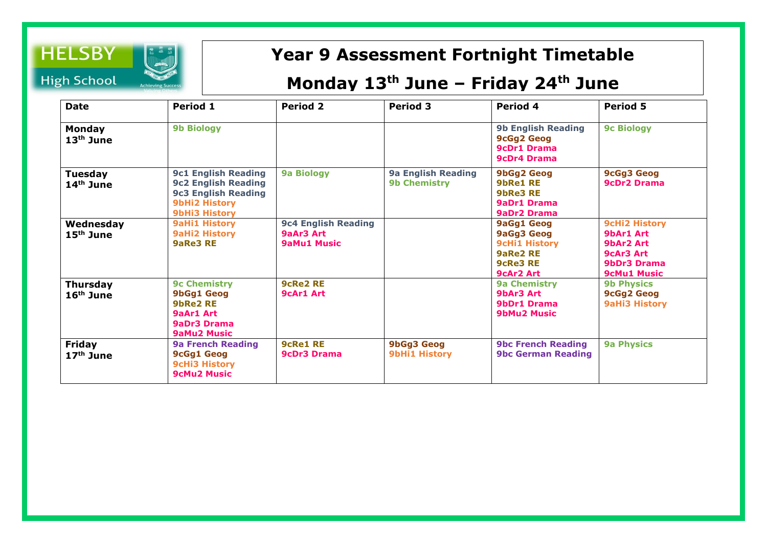

## **Year 9 Assessment Fortnight Timetable**

## **Monday 13th June – Friday 24th June**

| <b>Date</b>                  | Period 1                                                                                                                               | <b>Period 2</b>                                               | <b>Period 3</b>                                  | Period 4                                                                                                          | <b>Period 5</b>                                                                                  |
|------------------------------|----------------------------------------------------------------------------------------------------------------------------------------|---------------------------------------------------------------|--------------------------------------------------|-------------------------------------------------------------------------------------------------------------------|--------------------------------------------------------------------------------------------------|
| <b>Monday</b><br>$13th$ June | <b>9b Biology</b>                                                                                                                      |                                                               |                                                  | <b>9b English Reading</b><br><b>9cGg2 Geog</b><br><b>9cDr1 Drama</b><br><b>9cDr4 Drama</b>                        | <b>9c Biology</b>                                                                                |
| Tuesday<br>$14th$ June       | <b>9c1 English Reading</b><br><b>9c2 English Reading</b><br><b>9c3 English Reading</b><br><b>9bHi2 History</b><br><b>9bHi3 History</b> | <b>9a Biology</b>                                             | <b>9a English Reading</b><br><b>9b Chemistry</b> | 9bGg2 Geog<br>9bRe1 RE<br>9bRe3 RE<br>9aDr1 Drama<br><b>9aDr2 Drama</b>                                           | <b>9cGg3 Geog</b><br><b>9cDr2 Drama</b>                                                          |
| Wednesday<br>$15th$ June     | <b>9aHi1 History</b><br><b>9aHi2 History</b><br>9aRe3 RE                                                                               | <b>9c4 English Reading</b><br>9aAr3 Art<br><b>9aMu1 Music</b> |                                                  | <b>9aGg1 Geog</b><br><b>9aGg3 Geog</b><br><b>9cHi1 History</b><br>9aRe2 RE<br><b>9cRe3 RE</b><br><b>9cAr2 Art</b> | <b>9cHi2 History</b><br>9bAr1 Art<br>9bAr2 Art<br>9cAr3 Art<br>9bDr3 Drama<br><b>9cMu1 Music</b> |
| Thursday<br>$16th$ June      | <b>9c Chemistry</b><br><b>9bGg1 Geog</b><br><b>9bRe2 RE</b><br>9aAr1 Art<br>9aDr3 Drama<br><b>9aMu2 Music</b>                          | <b>9cRe2 RE</b><br><b>9cAr1 Art</b>                           |                                                  | <b>9a Chemistry</b><br>9bAr3 Art<br><b>9bDr1 Drama</b><br><b>9bMu2 Music</b>                                      | <b>9b Physics</b><br><b>9cGg2 Geog</b><br><b>9aHi3 History</b>                                   |
| Friday<br>$17th$ June        | <b>9a French Reading</b><br><b>9cGg1 Geog</b><br><b>9cHi3 History</b><br><b>9cMu2 Music</b>                                            | <b>9cRe1 RE</b><br><b>9cDr3 Drama</b>                         | <b>9bGg3 Geog</b><br><b>9bHi1 History</b>        | <b>9bc French Reading</b><br><b>9bc German Reading</b>                                                            | <b>9a Physics</b>                                                                                |